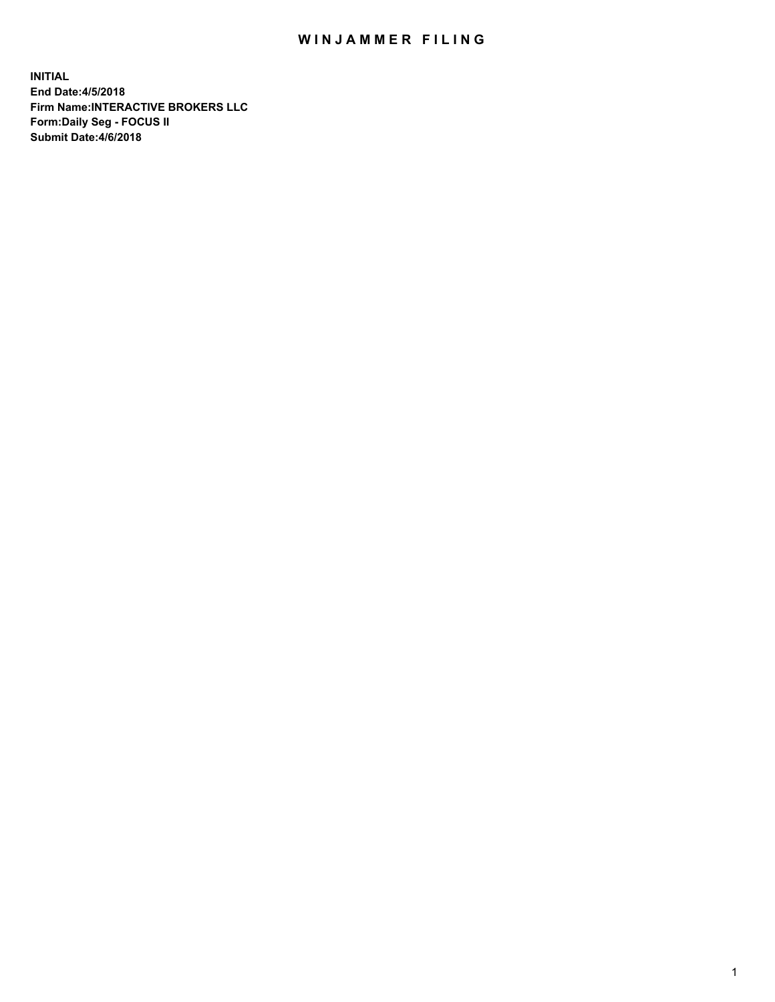## WIN JAMMER FILING

**INITIAL End Date:4/5/2018 Firm Name:INTERACTIVE BROKERS LLC Form:Daily Seg - FOCUS II Submit Date:4/6/2018**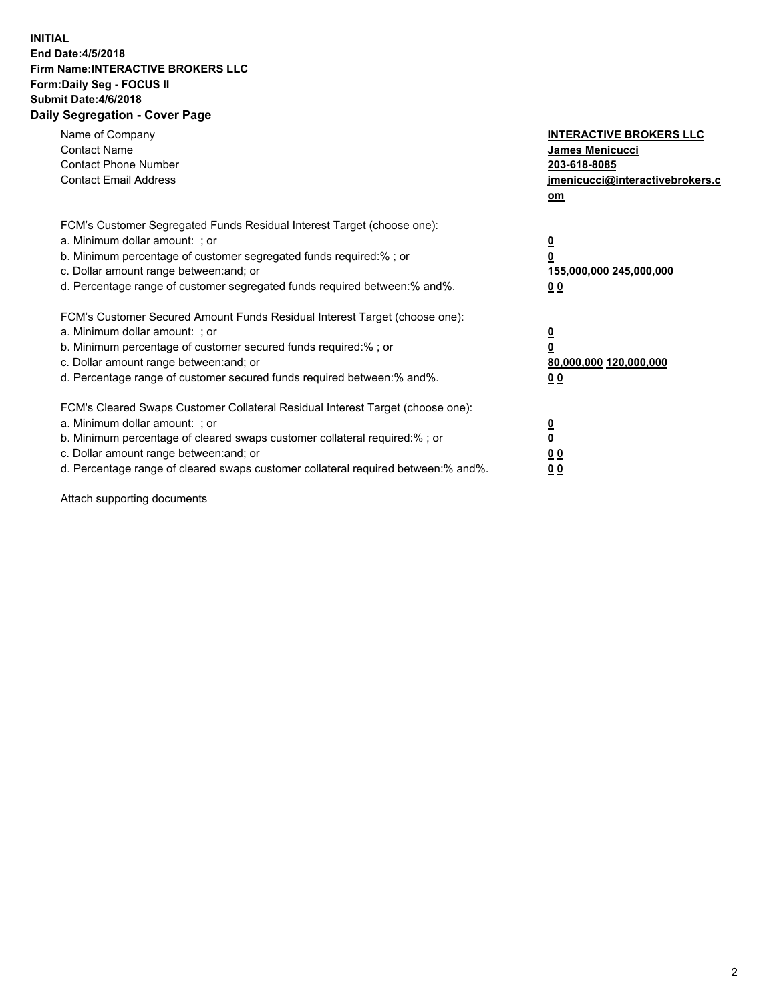## **INITIAL End Date:4/5/2018 Firm Name:INTERACTIVE BROKERS LLC Form:Daily Seg - FOCUS II Submit Date:4/6/2018 Daily Segregation - Cover Page**

| Name of Company<br><b>Contact Name</b><br><b>Contact Phone Number</b><br><b>Contact Email Address</b>                                                                                                                                                                                                                          | <b>INTERACTIVE BROKERS LLC</b><br>James Menicucci<br>203-618-8085<br>jmenicucci@interactivebrokers.c<br>om |
|--------------------------------------------------------------------------------------------------------------------------------------------------------------------------------------------------------------------------------------------------------------------------------------------------------------------------------|------------------------------------------------------------------------------------------------------------|
| FCM's Customer Segregated Funds Residual Interest Target (choose one):<br>a. Minimum dollar amount: ; or<br>b. Minimum percentage of customer segregated funds required:%; or<br>c. Dollar amount range between: and; or<br>d. Percentage range of customer segregated funds required between:% and%.                          | $\overline{\mathbf{0}}$<br>$\overline{\mathbf{0}}$<br>155,000,000 245,000,000<br>00                        |
| FCM's Customer Secured Amount Funds Residual Interest Target (choose one):<br>a. Minimum dollar amount: ; or<br>b. Minimum percentage of customer secured funds required:%; or<br>c. Dollar amount range between: and; or<br>d. Percentage range of customer secured funds required between: % and %.                          | $\overline{\mathbf{0}}$<br>$\mathbf 0$<br>80,000,000 120,000,000<br>00                                     |
| FCM's Cleared Swaps Customer Collateral Residual Interest Target (choose one):<br>a. Minimum dollar amount: ; or<br>b. Minimum percentage of cleared swaps customer collateral required:% ; or<br>c. Dollar amount range between: and; or<br>d. Percentage range of cleared swaps customer collateral required between:% and%. | $\overline{\mathbf{0}}$<br>$\underline{\mathbf{0}}$<br>0 <sub>0</sub><br>0 <sub>0</sub>                    |

Attach supporting documents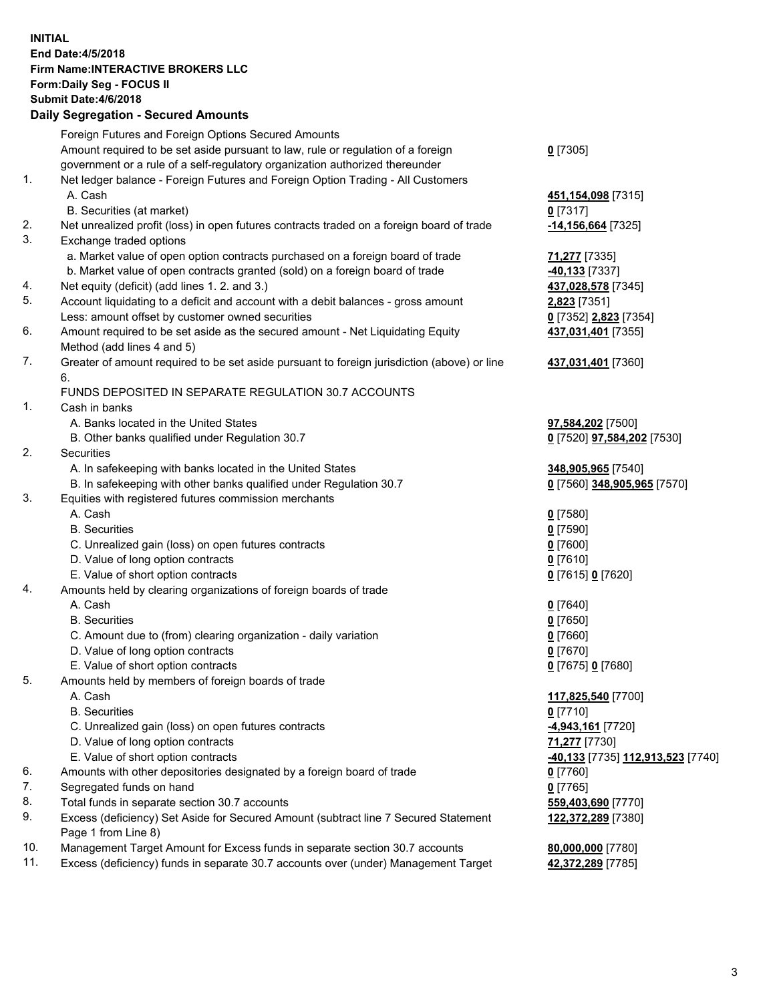## **INITIAL End Date:4/5/2018 Firm Name:INTERACTIVE BROKERS LLC Form:Daily Seg - FOCUS II Submit Date:4/6/2018 Daily Segregation - Secured Amounts**

|                                                                         | Daily Jegregation - Jeculed Aniounts                                                        |                                                |
|-------------------------------------------------------------------------|---------------------------------------------------------------------------------------------|------------------------------------------------|
|                                                                         | Foreign Futures and Foreign Options Secured Amounts                                         |                                                |
|                                                                         | Amount required to be set aside pursuant to law, rule or regulation of a foreign            | $0$ [7305]                                     |
|                                                                         | government or a rule of a self-regulatory organization authorized thereunder                |                                                |
| 1.                                                                      | Net ledger balance - Foreign Futures and Foreign Option Trading - All Customers             |                                                |
|                                                                         | A. Cash                                                                                     | 451,154,098 [7315]                             |
|                                                                         | B. Securities (at market)                                                                   | 0 [7317]                                       |
| 2.                                                                      | Net unrealized profit (loss) in open futures contracts traded on a foreign board of trade   | -14,156,664 [7325]                             |
| 3.                                                                      | Exchange traded options                                                                     |                                                |
|                                                                         | a. Market value of open option contracts purchased on a foreign board of trade              | 71,277 [7335]                                  |
|                                                                         | b. Market value of open contracts granted (sold) on a foreign board of trade                | -40,133 <sup>[7337]</sup>                      |
| 4.                                                                      | Net equity (deficit) (add lines 1.2. and 3.)                                                | 437,028,578 [7345]                             |
| 5.                                                                      | Account liquidating to a deficit and account with a debit balances - gross amount           | 2,823 [7351]                                   |
|                                                                         | Less: amount offset by customer owned securities                                            | 0 [7352] 2,823 [7354]                          |
| 6.                                                                      | Amount required to be set aside as the secured amount - Net Liquidating Equity              | 437,031,401 [7355]                             |
|                                                                         | Method (add lines 4 and 5)                                                                  |                                                |
| 7.                                                                      | Greater of amount required to be set aside pursuant to foreign jurisdiction (above) or line | 437,031,401 [7360]                             |
|                                                                         | 6.                                                                                          |                                                |
|                                                                         | FUNDS DEPOSITED IN SEPARATE REGULATION 30.7 ACCOUNTS                                        |                                                |
| 1 <sub>1</sub>                                                          | Cash in banks                                                                               |                                                |
|                                                                         | A. Banks located in the United States                                                       | 97,584,202 [7500]                              |
|                                                                         | B. Other banks qualified under Regulation 30.7                                              | 0 [7520] 97,584,202 [7530]                     |
| 2.                                                                      | Securities                                                                                  |                                                |
|                                                                         | A. In safekeeping with banks located in the United States                                   | 348,905,965 [7540]                             |
|                                                                         | B. In safekeeping with other banks qualified under Regulation 30.7                          | 0 [7560] 348,905,965 [7570]                    |
| 3.                                                                      | Equities with registered futures commission merchants                                       |                                                |
|                                                                         | A. Cash                                                                                     | $0$ [7580]                                     |
|                                                                         | <b>B.</b> Securities                                                                        | $0$ [7590]                                     |
|                                                                         | C. Unrealized gain (loss) on open futures contracts                                         | $0$ [7600]                                     |
|                                                                         | D. Value of long option contracts                                                           | $0$ [7610]                                     |
|                                                                         | E. Value of short option contracts                                                          | 0 [7615] 0 [7620]                              |
| 4.<br>Amounts held by clearing organizations of foreign boards of trade |                                                                                             |                                                |
|                                                                         | A. Cash                                                                                     | $0$ [7640]                                     |
|                                                                         | <b>B.</b> Securities                                                                        | $0$ [7650]                                     |
|                                                                         | C. Amount due to (from) clearing organization - daily variation                             | $0$ [7660]                                     |
|                                                                         | D. Value of long option contracts                                                           | $0$ [7670]                                     |
|                                                                         | E. Value of short option contracts                                                          | 0 [7675] 0 [7680]                              |
| 5.                                                                      | Amounts held by members of foreign boards of trade                                          |                                                |
|                                                                         | A. Cash                                                                                     | 117,825,540 [7700]                             |
|                                                                         | <b>B.</b> Securities                                                                        | $0$ [7710]                                     |
|                                                                         | C. Unrealized gain (loss) on open futures contracts                                         | 4,943,161 [7720]                               |
|                                                                         | D. Value of long option contracts                                                           | 71,277 [7730]                                  |
|                                                                         | E. Value of short option contracts                                                          | <mark>-40,133</mark> [7735] 112,913,523 [7740] |
| 6.                                                                      | Amounts with other depositories designated by a foreign board of trade                      | $0$ [7760]                                     |
| 7.                                                                      | Segregated funds on hand                                                                    | $0$ [7765]                                     |
| 8.                                                                      | Total funds in separate section 30.7 accounts                                               | 559,403,690 [7770]                             |
| 9.                                                                      | Excess (deficiency) Set Aside for Secured Amount (subtract line 7 Secured Statement         | 122,372,289 [7380]                             |
|                                                                         | Page 1 from Line 8)                                                                         |                                                |
| 10.                                                                     | Management Target Amount for Excess funds in separate section 30.7 accounts                 | 80,000,000 [7780]                              |
| 11.                                                                     | Excess (deficiency) funds in separate 30.7 accounts over (under) Management Target          | 42,372,289 [7785]                              |
|                                                                         |                                                                                             |                                                |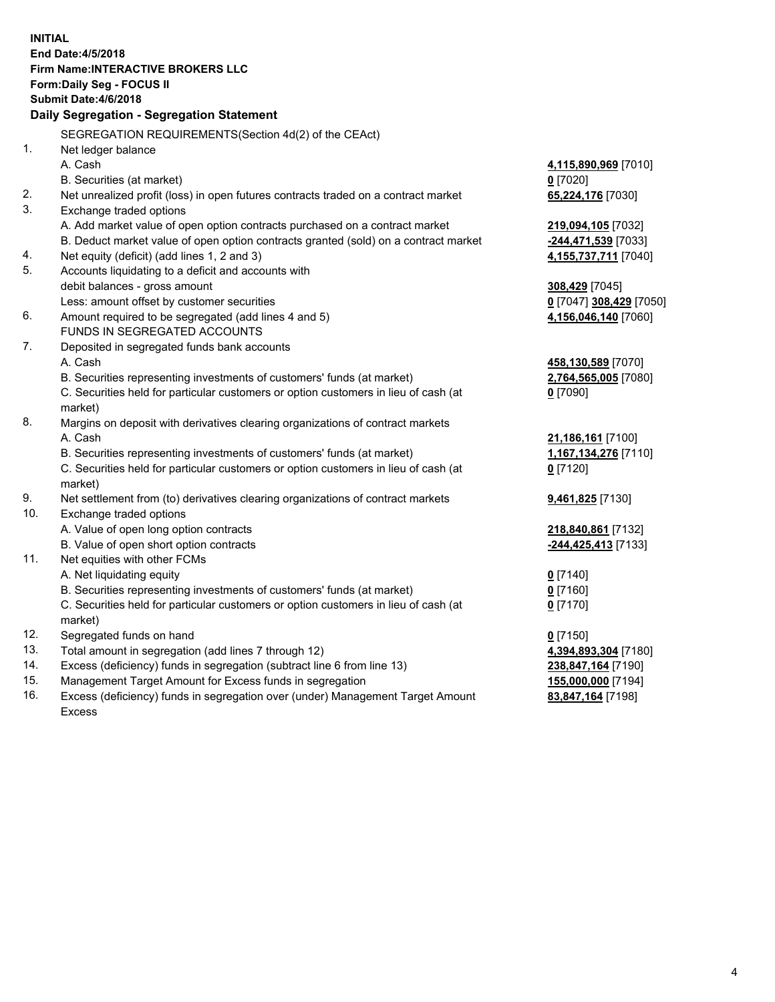**INITIAL End Date:4/5/2018 Firm Name:INTERACTIVE BROKERS LLC Form:Daily Seg - FOCUS II Submit Date:4/6/2018 Daily Segregation - Segregation Statement** SEGREGATION REQUIREMENTS(Section 4d(2) of the CEAct) 1. Net ledger balance A. Cash **4,115,890,969** [7010] B. Securities (at market) **0** [7020] 2. Net unrealized profit (loss) in open futures contracts traded on a contract market **65,224,176** [7030] 3. Exchange traded options A. Add market value of open option contracts purchased on a contract market **219,094,105** [7032] B. Deduct market value of open option contracts granted (sold) on a contract market **-244,471,539** [7033] 4. Net equity (deficit) (add lines 1, 2 and 3) **4,155,737,711** [7040] 5. Accounts liquidating to a deficit and accounts with debit balances - gross amount **308,429** [7045] Less: amount offset by customer securities **0** [7047] **308,429** [7050] 6. Amount required to be segregated (add lines 4 and 5) **4,156,046,140** [7060] FUNDS IN SEGREGATED ACCOUNTS 7. Deposited in segregated funds bank accounts A. Cash **458,130,589** [7070] B. Securities representing investments of customers' funds (at market) **2,764,565,005** [7080] C. Securities held for particular customers or option customers in lieu of cash (at market) **0** [7090] 8. Margins on deposit with derivatives clearing organizations of contract markets A. Cash **21,186,161** [7100] B. Securities representing investments of customers' funds (at market) **1,167,134,276** [7110] C. Securities held for particular customers or option customers in lieu of cash (at market) **0** [7120] 9. Net settlement from (to) derivatives clearing organizations of contract markets **9,461,825** [7130] 10. Exchange traded options A. Value of open long option contracts **218,840,861** [7132] B. Value of open short option contracts **-244,425,413** [7133] 11. Net equities with other FCMs A. Net liquidating equity **0** [7140] B. Securities representing investments of customers' funds (at market) **0** [7160] C. Securities held for particular customers or option customers in lieu of cash (at market) **0** [7170] 12. Segregated funds on hand **0** [7150] 13. Total amount in segregation (add lines 7 through 12) **4,394,893,304** [7180] 14. Excess (deficiency) funds in segregation (subtract line 6 from line 13) **238,847,164** [7190] 15. Management Target Amount for Excess funds in segregation **155,000,000** [7194]

16. Excess (deficiency) funds in segregation over (under) Management Target Amount Excess

**83,847,164** [7198]